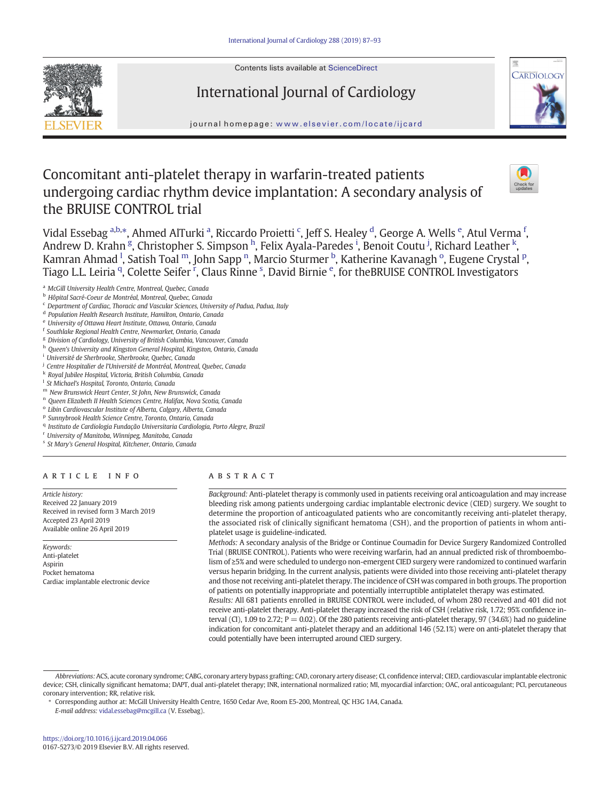Contents lists available at [ScienceDirect](http://www.sciencedirect.com/science/journal/01675273)





journal homepage: <www.elsevier.com/locate/ijcard>

International Journal of Cardiology

# Concomitant anti-platelet therapy in warfarin-treated patients undergoing cardiac rhythm device implantation: A secondary analysis of the BRUISE CONTROL trial



Vidal Essebag <sup>a,b,</sup>\*, Ahmed AlTurki <sup>a</sup>, Riccardo Proietti <sup>c</sup>, Jeff S. Healey <sup>d</sup>, George A. Wells <sup>e</sup>, Atul Verma <sup>f</sup>, Andrew D. Krahn <sup>g</sup>, Christopher S. Simpson <sup>h</sup>, Felix Ayala-Paredes <sup>i</sup>, Benoit Coutu <sup>j</sup>, Richard Leather <sup>k</sup>, Kamran Ahmad <sup>I</sup>, Satish Toal <sup>m</sup>, John Sapp <sup>n</sup>, Marcio Sturmer <sup>b</sup>, Katherine Kavanagh <sup>o</sup>, Eugene Crystal <sup>p</sup>, Tiago L.L. Leiria <sup>q</sup>, Colette Seifer <sup>r</sup>, Claus Rinne <sup>s</sup>, David Birnie <sup>e</sup>, for theBRUISE CONTROL Investigators

- <sup>f</sup> Southlake Regional Health Centre, Newmarket, Ontario, Canada
- <sup>g</sup> Division of Cardiology, University of British Columbia, Vancouver, Canada
- h Queen's University and Kingston General Hospital, Kingston, Ontario, Canada
- <sup>i</sup> Université de Sherbrooke, Sherbrooke, Quebec, Canada
- <sup>j</sup> Centre Hospitalier de l'Université de Montréal, Montreal, Quebec, Canada
- <sup>k</sup> Royal Jubilee Hospital, Victoria, British Columbia, Canada
- <sup>1</sup> St Michael's Hospital, Toronto, Ontario, Canada
- <sup>m</sup> New Brunswick Heart Center, St John, New Brunswick, Canada
- <sup>n</sup> Queen Elizabeth II Health Sciences Centre, Halifax, Nova Scotia, Canada
- <sup>o</sup> Libin Cardiovascular Institute of Alberta, Calgary, Alberta, Canada
- <sup>p</sup> Sunnybrook Health Science Centre, Toronto, Ontario, Canada
- <sup>q</sup> Instituto de Cardiologia Fundação Universitaria Cardiologia, Porto Alegre, Brazil
- <sup>r</sup> University of Manitoba, Winnipeg, Manitoba, Canada
- <sup>s</sup> St Mary's General Hospital, Kitchener, Ontario, Canada

# article info abstract

Article history: Received 22 January 2019 Received in revised form 3 March 2019 Accepted 23 April 2019 Available online 26 April 2019

Keywords: Anti-platelet Aspirin Pocket hematoma Cardiac implantable electronic device

Background: Anti-platelet therapy is commonly used in patients receiving oral anticoagulation and may increase bleeding risk among patients undergoing cardiac implantable electronic device (CIED) surgery. We sought to determine the proportion of anticoagulated patients who are concomitantly receiving anti-platelet therapy, the associated risk of clinically significant hematoma (CSH), and the proportion of patients in whom antiplatelet usage is guideline-indicated.

Methods: A secondary analysis of the Bridge or Continue Coumadin for Device Surgery Randomized Controlled Trial (BRUISE CONTROL). Patients who were receiving warfarin, had an annual predicted risk of thromboembolism of ≥5% and were scheduled to undergo non-emergent CIED surgery were randomized to continued warfarin versus heparin bridging. In the current analysis, patients were divided into those receiving anti-platelet therapy and those not receiving anti-platelet therapy. The incidence of CSH was compared in both groups. The proportion of patients on potentially inappropriate and potentially interruptible antiplatelet therapy was estimated.

Results: All 681 patients enrolled in BRUISE CONTROL were included, of whom 280 received and 401 did not receive anti-platelet therapy. Anti-platelet therapy increased the risk of CSH (relative risk, 1.72; 95% confidence interval (CI), 1.09 to 2.72; P = 0.02). Of the 280 patients receiving anti-platelet therapy, 97 (34.6%) had no guideline indication for concomitant anti-platelet therapy and an additional 146 (52.1%) were on anti-platelet therapy that could potentially have been interrupted around CIED surgery.

E-mail address: <vidal.essebag@mcgill.ca> (V. Essebag).

a McGill University Health Centre, Montreal, Quebec, Canada

<sup>b</sup> Hôpital Sacré-Coeur de Montréal, Montreal, Quebec, Canada

<sup>c</sup> Department of Cardiac, Thoracic and Vascular Sciences, University of Padua, Padua, Italy

<sup>d</sup> Population Health Research Institute, Hamilton, Ontario, Canada

<sup>e</sup> University of Ottawa Heart Institute, Ottawa, Ontario, Canada

Abbreviations:ACS, acute coronary syndrome; CABG, coronary artery bypass grafting; CAD, coronary artery disease; CI, confidence interval; CIED, cardiovascular implantable electronic device; CSH, clinically significant hematoma; DAPT, dual anti-platelet therapy; INR, international normalized ratio; MI, myocardial infarction; OAC, oral anticoagulant; PCI, percutaneous coronary intervention; RR, relative risk.

<sup>⁎</sup> Corresponding author at: McGill University Health Centre, 1650 Cedar Ave, Room E5-200, Montreal, QC H3G 1A4, Canada.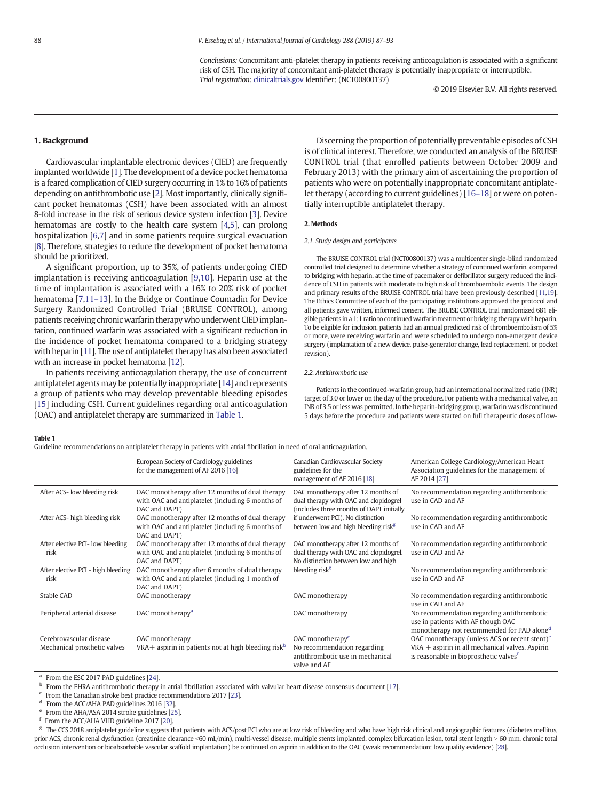Conclusions: Concomitant anti-platelet therapy in patients receiving anticoagulation is associated with a significant risk of CSH. The majority of concomitant anti-platelet therapy is potentially inappropriate or interruptible. Trial registration: [clinicaltrials.gov](http://clinicaltrials.gov) Identifier: (NCT00800137)

© 2019 Elsevier B.V. All rights reserved.

# <span id="page-1-0"></span>1. Background

Cardiovascular implantable electronic devices (CIED) are frequently implanted worldwide [[1](#page-5-0)]. The development of a device pocket hematoma is a feared complication of CIED surgery occurring in 1% to 16% of patients depending on antithrombotic use [[2](#page-5-0)]. Most importantly, clinically significant pocket hematomas (CSH) have been associated with an almost 8-fold increase in the risk of serious device system infection [\[3](#page-5-0)]. Device hematomas are costly to the health care system [[4,5](#page-5-0)], can prolong hospitalization [\[6,7](#page-5-0)] and in some patients require surgical evacuation [\[8\]](#page-5-0). Therefore, strategies to reduce the development of pocket hematoma should be prioritized.

A significant proportion, up to 35%, of patients undergoing CIED implantation is receiving anticoagulation [\[9,10\]](#page-5-0). Heparin use at the time of implantation is associated with a 16% to 20% risk of pocket hematoma [[7,11](#page-5-0)–13]. In the Bridge or Continue Coumadin for Device Surgery Randomized Controlled Trial (BRUISE CONTROL), among patients receiving chronic warfarin therapy who underwent CIED implantation, continued warfarin was associated with a significant reduction in the incidence of pocket hematoma compared to a bridging strategy with heparin [\[11](#page-5-0)]. The use of antiplatelet therapy has also been associated with an increase in pocket hematoma [\[12\]](#page-5-0).

In patients receiving anticoagulation therapy, the use of concurrent antiplatelet agents may be potentially inappropriate [\[14](#page-5-0)] and represents a group of patients who may develop preventable bleeding episodes [[15\]](#page-5-0) including CSH. Current guidelines regarding oral anticoagulation (OAC) and antiplatelet therapy are summarized in Table 1.

Discerning the proportion of potentially preventable episodes of CSH is of clinical interest. Therefore, we conducted an analysis of the BRUISE CONTROL trial (that enrolled patients between October 2009 and February 2013) with the primary aim of ascertaining the proportion of patients who were on potentially inappropriate concomitant antiplatelet therapy (according to current guidelines) [\[16](#page-5-0)–18] or were on potentially interruptible antiplatelet therapy.

#### 2. Methods

#### 2.1. Study design and participants

The BRUISE CONTROL trial (NCT00800137) was a multicenter single-blind randomized controlled trial designed to determine whether a strategy of continued warfarin, compared to bridging with heparin, at the time of pacemaker or defibrillator surgery reduced the incidence of CSH in patients with moderate to high risk of thromboembolic events. The design and primary results of the BRUISE CONTROL trial have been previously described [[11,19](#page-5-0)]. The Ethics Committee of each of the participating institutions approved the protocol and all patients gave written, informed consent. The BRUISE CONTROL trial randomized 681 eligible patients in a 1:1 ratio to continued warfarin treatment or bridging therapy with heparin. To be eligible for inclusion, patients had an annual predicted risk of thromboembolism of 5% or more, were receiving warfarin and were scheduled to undergo non-emergent device surgery (implantation of a new device, pulse-generator change, lead replacement, or pocket revision).

#### 2.2. Antithrombotic use

Patients in the continued-warfarin group, had an international normalized ratio (INR) target of 3.0 or lower on the day of the procedure. For patients with a mechanical valve, an INR of 3.5 or less was permitted. In the heparin-bridging group, warfarin was discontinued 5 days before the procedure and patients were started on full therapeutic doses of low-

#### Table 1

Guideline recommendations on antiplatelet therapy in patients with atrial fibrillation in need of oral anticoagulation.

|                                            | European Society of Cardiology guidelines<br>for the management of AF 2016 [16]                                      | Canadian Cardiovascular Society<br>guidelines for the<br>management of AF 2016 [18]                                     | American College Cardiology/American Heart<br>Association guidelines for the management of<br>AF 2014 [27]                                 |
|--------------------------------------------|----------------------------------------------------------------------------------------------------------------------|-------------------------------------------------------------------------------------------------------------------------|--------------------------------------------------------------------------------------------------------------------------------------------|
| After ACS- low bleeding risk               | OAC monotherapy after 12 months of dual therapy<br>with OAC and antiplatelet (including 6 months of<br>OAC and DAPT) | OAC monotherapy after 12 months of<br>dual therapy with OAC and clopidogrel<br>(includes three months of DAPT initially | No recommendation regarding antithrombotic<br>use in CAD and AF                                                                            |
| After ACS- high bleeding risk              | OAC monotherapy after 12 months of dual therapy<br>with OAC and antiplatelet (including 6 months of<br>OAC and DAPT) | if underwent PCI). No distinction<br>between low and high bleeding risk <sup>g</sup>                                    | No recommendation regarding antithrombotic<br>use in CAD and AF                                                                            |
| After elective PCI- low bleeding<br>risk   | OAC monotherapy after 12 months of dual therapy<br>with OAC and antiplatelet (including 6 months of<br>OAC and DAPT) | OAC monotherapy after 12 months of<br>dual therapy with OAC and clopidogrel.<br>No distinction between low and high     | No recommendation regarding antithrombotic<br>use in CAD and AF                                                                            |
| After elective PCI - high bleeding<br>risk | OAC monotherapy after 6 months of dual therapy<br>with OAC and antiplatelet (including 1 month of<br>OAC and DAPT)   | bleeding risk <sup>g</sup>                                                                                              | No recommendation regarding antithrombotic<br>use in CAD and AF                                                                            |
| Stable CAD                                 | OAC monotherapy                                                                                                      | OAC monotherapy                                                                                                         | No recommendation regarding antithrombotic<br>use in CAD and AF                                                                            |
| Peripheral arterial disease                | OAC monotherapy <sup>a</sup>                                                                                         | OAC monotherapy                                                                                                         | No recommendation regarding antithrombotic<br>use in patients with AF though OAC<br>monotherapy not recommended for PAD alone <sup>d</sup> |
| Cerebrovascular disease                    | OAC monotherapy                                                                                                      | OAC monotherapy <sup>c</sup>                                                                                            | OAC monotherapy (unless ACS or recent stent) <sup>e</sup>                                                                                  |
| Mechanical prosthetic valves               | VKA $+$ aspirin in patients not at high bleeding risk $\mathbf{b}$                                                   | No recommendation regarding<br>antithrombotic use in mechanical<br>valve and AF                                         | $VKA$ + aspirin in all mechanical valves. Aspirin<br>is reasonable in bioprosthetic valves <sup>t</sup>                                    |

<sup>a</sup> From the ESC 2017 PAD guidelines [[24\]](#page-5-0).

<sup>b</sup> From the EHRA antithrombotic therapy in atrial fibrillation associated with valvular heart disease consensus document [[17\]](#page-5-0).

 $c$  From the Canadian stroke best practice recommendations 2017 [[23\]](#page-5-0).

<sup>d</sup> From the ACC/AHA PAD guidelines 2016 [\[32](#page-6-0)].

<sup>e</sup> From the AHA/ASA 2014 stroke guidelines [\[25](#page-5-0)].

From the ACC/AHA VHD guideline 2017 [\[20](#page-5-0)].

<sup>g</sup> The CCS 2018 antiplatelet guideline suggests that patients with ACS/post PCI who are at low risk of bleeding and who have high risk clinical and angiographic features (diabetes mellitus, prior ACS, chronic renal dysfunction (creatinine clearance <60 mL/min), multi-vessel disease, multiple stents implanted, complex bifurcation lesion, total stent length > 60 mm, chronic total occlusion intervention or bioabsorbable vascular scaffold implantation) be continued on aspirin in addition to the OAC (weak recommendation; low quality evidence) [\[28](#page-5-0)].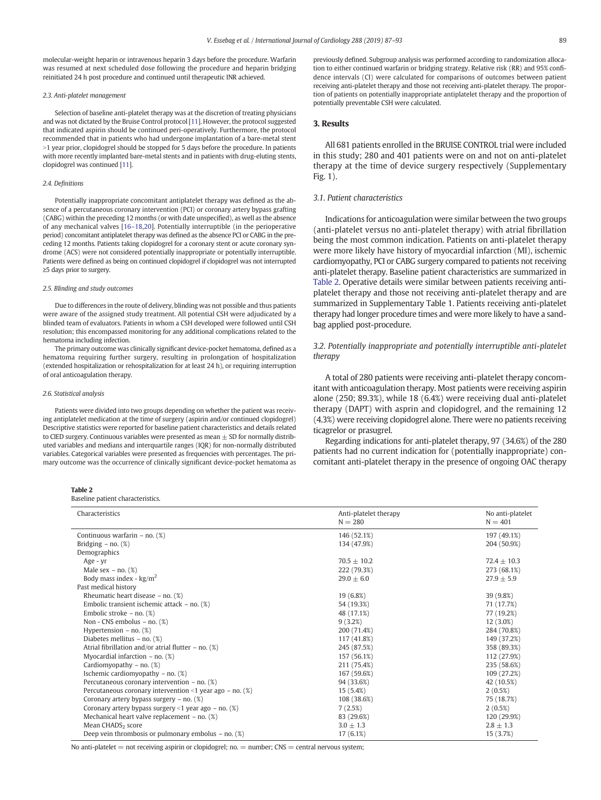molecular-weight heparin or intravenous heparin 3 days before the procedure. Warfarin was resumed at next scheduled dose following the procedure and heparin bridging reinitiated 24 h post procedure and continued until therapeutic INR achieved.

#### 2.3. Anti-platelet management

Selection of baseline anti-platelet therapy was at the discretion of treating physicians and was not dictated by the Bruise Control protocol [\[11](#page-5-0)]. However, the protocol suggested that indicated aspirin should be continued peri-operatively. Furthermore, the protocol recommended that in patients who had undergone implantation of a bare-metal stent  $>1$  year prior, clopidogrel should be stopped for 5 days before the procedure. In patients with more recently implanted bare-metal stents and in patients with drug-eluting stents, clopidogrel was continued [\[11](#page-5-0)].

#### 2.4. Definitions

Potentially inappropriate concomitant antiplatelet therapy was defined as the absence of a percutaneous coronary intervention (PCI) or coronary artery bypass grafting (CABG) within the preceding 12 months (or with date unspecified), as well as the absence of any mechanical valves [16–[18](#page-5-0),[20](#page-5-0)]. Potentially interruptible (in the perioperative period) concomitant antiplatelet therapy was defined as the absence PCI or CABG in the preceding 12 months. Patients taking clopidogrel for a coronary stent or acute coronary syndrome (ACS) were not considered potentially inappropriate or potentially interruptible. Patients were defined as being on continued clopidogrel if clopidogrel was not interrupted ≥5 days prior to surgery.

#### 2.5. Blinding and study outcomes

Due to differences in the route of delivery, blinding was not possible and thus patients were aware of the assigned study treatment. All potential CSH were adjudicated by a blinded team of evaluators. Patients in whom a CSH developed were followed until CSH resolution; this encompassed monitoring for any additional complications related to the hematoma including infection.

The primary outcome was clinically significant device-pocket hematoma, defined as a hematoma requiring further surgery, resulting in prolongation of hospitalization (extended hospitalization or rehospitalization for at least 24 h), or requiring interruption of oral anticoagulation therapy.

#### 2.6. Statistical analysis

Patients were divided into two groups depending on whether the patient was receiving antiplatelet medication at the time of surgery (aspirin and/or continued clopidogrel) Descriptive statistics were reported for baseline patient characteristics and details related to CIED surgery. Continuous variables were presented as mean  $\pm$  SD for normally distributed variables and medians and interquartile ranges (IQR) for non-normally distributed variables. Categorical variables were presented as frequencies with percentages. The primary outcome was the occurrence of clinically significant device-pocket hematoma as

# Ta<br>Ba

| Characteristics                                             | Anti-platelet therapy<br>$N = 280$ | No anti-platelet<br>$N = 401$ |
|-------------------------------------------------------------|------------------------------------|-------------------------------|
| Continuous warfarin $-$ no. $(\%)$                          | 146 (52.1%)                        | 197 (49.1%)                   |
| Bridging $-$ no. $(\%)$                                     | 134 (47.9%)                        | 204 (50.9%)                   |
| Demographics                                                |                                    |                               |
| Age - yr                                                    | $70.5 + 10.2$                      | $72.4 + 10.3$                 |
| Male sex $-$ no. $(\%)$                                     | 222 (79.3%)                        | 273 (68.1%)                   |
| Body mass index - $\text{kg/m}^2$                           | $29.0 + 6.0$                       | $27.9 \pm 5.9$                |
| Past medical history                                        |                                    |                               |
| Rheumatic heart disease $-$ no. $(\%)$                      | 19 (6.8%)                          | 39 (9.8%)                     |
| Embolic transient ischemic attack - no. $(\%)$              | 54 (19.3%)                         | 71 (17.7%)                    |
| Embolic stroke $-$ no. $(\%)$                               | 48 (17.1%)                         | 77 (19.2%)                    |
| Non - CNS embolus - no. $(\%)$                              | 9(3.2%)                            | 12 (3.0%)                     |
| Hypertension $-$ no. $(\%)$                                 | 200 (71.4%)                        | 284 (70.8%)                   |
| Diabetes mellitus – no. $(\%)$                              | 117 (41.8%)                        | 149 (37.2%)                   |
| Atrial fibrillation and/or atrial flutter $-$ no. $(\%)$    | 245 (87.5%)                        | 358 (89.3%)                   |
| Myocardial infarction $-$ no. $(\%)$                        | 157 (56.1%)                        | 112 (27.9%)                   |
| Cardiomyopathy – no. $(\%)$                                 | 211 (75.4%)                        | 235 (58.6%)                   |
| Ischemic cardiomyopathy $-$ no. $(\%)$                      | 167 (59.6%)                        | 109 (27.2%)                   |
| Percutaneous coronary intervention - no. $(\%)$             | 94 (33.6%)                         | 42 (10.5%)                    |
| Percutaneous coronary intervention <1 year ago – no. $(\%)$ | 15 (5.4%)                          | $2(0.5\%)$                    |
| Coronary artery bypass surgery $-$ no. $(\%)$               | 108 (38.6%)                        | 75 (18.7%)                    |
| Coronary artery bypass surgery <1 year ago – no. $(\%)$     | 7(2.5%)                            | $2(0.5\%)$                    |
| Mechanical heart valve replacement $-$ no. $(\%)$           | 83 (29.6%)                         | 120 (29.9%)                   |
| Mean CHADS <sub>2</sub> score                               | $3.0 \pm 1.3$                      | $2.8 \pm 1.3$                 |

Deep vein thrombosis or pulmonary embolus – no.  $(\%)$  17 (6.1%) 17 (6.1%) 15 (3.7%)

No anti-platelet  $=$  not receiving aspirin or clopidogrel; no.  $=$  number; CNS  $=$  central nervous system;

previously defined. Subgroup analysis was performed according to randomization allocation to either continued warfarin or bridging strategy. Relative risk (RR) and 95% confidence intervals (CI) were calculated for comparisons of outcomes between patient receiving anti-platelet therapy and those not receiving anti-platelet therapy. The proportion of patients on potentially inappropriate antiplatelet therapy and the proportion of potentially preventable CSH were calculated.

# 3. Results

All 681 patients enrolled in the BRUISE CONTROL trial were included in this study; 280 and 401 patients were on and not on anti-platelet therapy at the time of device surgery respectively (Supplementary Fig. 1).

# 3.1. Patient characteristics

Indications for anticoagulation were similar between the two groups (anti-platelet versus no anti-platelet therapy) with atrial fibrillation being the most common indication. Patients on anti-platelet therapy were more likely have history of myocardial infarction (MI), ischemic cardiomyopathy, PCI or CABG surgery compared to patients not receiving anti-platelet therapy. Baseline patient characteristics are summarized in Table 2. Operative details were similar between patients receiving antiplatelet therapy and those not receiving anti-platelet therapy and are summarized in Supplementary Table 1. Patients receiving anti-platelet therapy had longer procedure times and were more likely to have a sandbag applied post-procedure.

# 3.2. Potentially inappropriate and potentially interruptible anti-platelet therapy

A total of 280 patients were receiving anti-platelet therapy concomitant with anticoagulation therapy. Most patients were receiving aspirin alone (250; 89.3%), while 18 (6.4%) were receiving dual anti-platelet therapy (DAPT) with asprin and clopidogrel, and the remaining 12 (4.3%) were receiving clopidogrel alone. There were no patients receiving ticagrelor or prasugrel.

Regarding indications for anti-platelet therapy, 97 (34.6%) of the 280 patients had no current indication for (potentially inappropriate) concomitant anti-platelet therapy in the presence of ongoing OAC therapy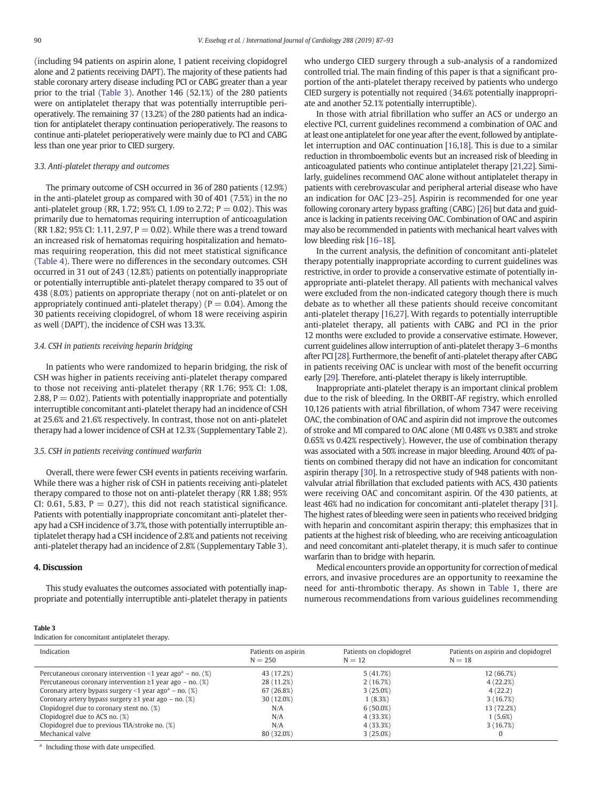(including 94 patients on aspirin alone, 1 patient receiving clopidogrel alone and 2 patients receiving DAPT). The majority of these patients had stable coronary artery disease including PCI or CABG greater than a year prior to the trial (Table 3). Another 146 (52.1%) of the 280 patients were on antiplatelet therapy that was potentially interruptible perioperatively. The remaining 37 (13.2%) of the 280 patients had an indication for antiplatelet therapy continuation perioperatively. The reasons to continue anti-platelet perioperatively were mainly due to PCI and CABG less than one year prior to CIED surgery.

#### 3.3. Anti-platelet therapy and outcomes

The primary outcome of CSH occurred in 36 of 280 patients (12.9%) in the anti-platelet group as compared with 30 of 401 (7.5%) in the no anti-platelet group (RR, 1.72; 95% CI, 1.09 to 2.72;  $P = 0.02$ ). This was primarily due to hematomas requiring interruption of anticoagulation (RR 1.82; 95% CI: 1.11, 2.97,  $P = 0.02$ ). While there was a trend toward an increased risk of hematomas requiring hospitalization and hematomas requiring reoperation, this did not meet statistical significance [\(Table 4\)](#page-4-0). There were no differences in the secondary outcomes. CSH occurred in 31 out of 243 (12.8%) patients on potentially inappropriate or potentially interruptible anti-platelet therapy compared to 35 out of 438 (8.0%) patients on appropriate therapy (not on anti-platelet or on appropriately continued anti-platelet therapy) ( $P = 0.04$ ). Among the 30 patients receiving clopidogrel, of whom 18 were receiving aspirin as well (DAPT), the incidence of CSH was 13.3%.

#### 3.4. CSH in patients receiving heparin bridging

In patients who were randomized to heparin bridging, the risk of CSH was higher in patients receiving anti-platelet therapy compared to those not receiving anti-platelet therapy (RR 1.76; 95% CI: 1.08, 2.88,  $P = 0.02$ ). Patients with potentially inappropriate and potentially interruptible concomitant anti-platelet therapy had an incidence of CSH at 25.6% and 21.6% respectively. In contrast, those not on anti-platelet therapy had a lower incidence of CSH at 12.3% (Supplementary Table 2).

#### 3.5. CSH in patients receiving continued warfarin

Overall, there were fewer CSH events in patients receiving warfarin. While there was a higher risk of CSH in patients receiving anti-platelet therapy compared to those not on anti-platelet therapy (RR 1.88; 95% CI: 0.61, 5.83,  $P = 0.27$ ), this did not reach statistical significance. Patients with potentially inappropriate concomitant anti-platelet therapy had a CSH incidence of 3.7%, those with potentially interruptible antiplatelet therapy had a CSH incidence of 2.8% and patients not receiving anti-platelet therapy had an incidence of 2.8% (Supplementary Table 3).

# 4. Discussion

This study evaluates the outcomes associated with potentially inappropriate and potentially interruptible anti-platelet therapy in patients who undergo CIED surgery through a sub-analysis of a randomized controlled trial. The main finding of this paper is that a significant proportion of the anti-platelet therapy received by patients who undergo CIED surgery is potentially not required (34.6% potentially inappropriate and another 52.1% potentially interruptible).

In those with atrial fibrillation who suffer an ACS or undergo an elective PCI, current guidelines recommend a combination of OAC and at least one antiplatelet for one year after the event, followed by antiplatelet interruption and OAC continuation [\[16,18](#page-5-0)]. This is due to a similar reduction in thromboembolic events but an increased risk of bleeding in anticoagulated patients who continue antiplatelet therapy [[21,22\]](#page-5-0). Similarly, guidelines recommend OAC alone without antiplatelet therapy in patients with cerebrovascular and peripheral arterial disease who have an indication for OAC [23–[25\]](#page-5-0). Aspirin is recommended for one year following coronary artery bypass grafting (CABG) [\[26\]](#page-5-0) but data and guidance is lacking in patients receiving OAC. Combination of OAC and aspirin may also be recommended in patients with mechanical heart valves with low bleeding risk [\[16](#page-5-0)–18].

In the current analysis, the definition of concomitant anti-platelet therapy potentially inappropriate according to current guidelines was restrictive, in order to provide a conservative estimate of potentially inappropriate anti-platelet therapy. All patients with mechanical valves were excluded from the non-indicated category though there is much debate as to whether all these patients should receive concomitant anti-platelet therapy [[16,27\]](#page-5-0). With regards to potentially interruptible anti-platelet therapy, all patients with CABG and PCI in the prior 12 months were excluded to provide a conservative estimate. However, current guidelines allow interruption of anti-platelet therapy 3–6 months after PCI [\[28](#page-5-0)]. Furthermore, the benefit of anti-platelet therapy after CABG in patients receiving OAC is unclear with most of the benefit occurring early [[29](#page-5-0)]. Therefore, anti-platelet therapy is likely interruptible.

Inappropriate anti-platelet therapy is an important clinical problem due to the risk of bleeding. In the ORBIT-AF registry, which enrolled 10,126 patients with atrial fibrillation, of whom 7347 were receiving OAC, the combination of OAC and aspirin did not improve the outcomes of stroke and MI compared to OAC alone (MI 0.48% vs 0.38% and stroke 0.65% vs 0.42% respectively). However, the use of combination therapy was associated with a 50% increase in major bleeding. Around 40% of patients on combined therapy did not have an indication for concomitant aspirin therapy [\[30](#page-5-0)]. In a retrospective study of 948 patients with nonvalvular atrial fibrillation that excluded patients with ACS, 430 patients were receiving OAC and concomitant aspirin. Of the 430 patients, at least 46% had no indication for concomitant anti-platelet therapy [\[31](#page-5-0)]. The highest rates of bleeding were seen in patients who received bridging with heparin and concomitant aspirin therapy; this emphasizes that in patients at the highest risk of bleeding, who are receiving anticoagulation and need concomitant anti-platelet therapy, it is much safer to continue warfarin than to bridge with heparin.

Medical encounters provide an opportunity for correction of medical errors, and invasive procedures are an opportunity to reexamine the need for anti-thrombotic therapy. As shown in [Table 1,](#page-1-0) there are numerous recommendations from various guidelines recommending

#### Table 3

Indication for concomitant antiplatelet therapy.

| Indication                                                                     | Patients on aspirin<br>$N = 250$ | Patients on clopidogrel<br>$N = 12$ | Patients on aspirin and clopidogrel<br>$N = 18$ |
|--------------------------------------------------------------------------------|----------------------------------|-------------------------------------|-------------------------------------------------|
| Percutaneous coronary intervention <1 year ago <sup>a</sup> – no. (%)          | 43 (17.2%)                       | 5(41.7%)                            | 12 (66.7%)                                      |
| Percutaneous coronary intervention $\geq 1$ year ago – no. (%)                 | 28 (11.2%)                       | 2(16.7%)                            | 4(22.2%)                                        |
| Coronary artery bypass surgery <1 year ago <sup><math>a</math></sup> – no. (%) | 67 (26.8%)                       | 3(25.0%)                            | 4(22.2)                                         |
| Coronary artery bypass surgery $\geq 1$ year ago – no. (%)                     | 30 (12.0%)                       | 1(8.3%)                             | 3(16.7%)                                        |
| Clopidogrel due to coronary stent no. (%)                                      | N/A                              | $6(50.0\%)$                         | 13 (72.2%)                                      |
| Clopidogrel due to ACS no. (%)                                                 | N/A                              | 4 (33.3%)                           | 1(5.6%)                                         |
| Clopidogrel due to previous TIA/stroke no. (%)                                 | N/A                              | 4 (33.3%)                           | 3(16.7%)                                        |
| Mechanical valve                                                               | 80 (32.0%)                       | 3(25.0%)                            | $\Omega$                                        |

<sup>a</sup> Including those with date unspecified.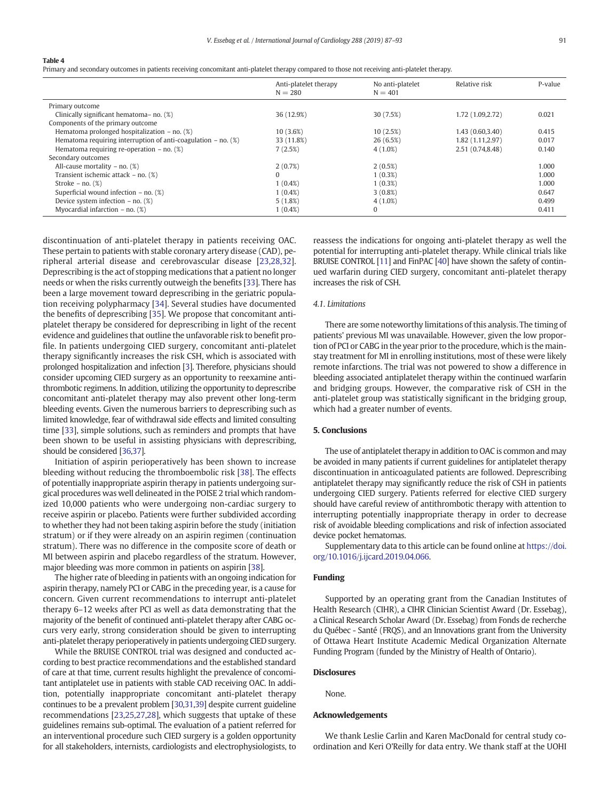#### <span id="page-4-0"></span>Table 4

Primary and secondary outcomes in patients receiving concomitant anti-platelet therapy compared to those not receiving anti-platelet therapy.

|                                                                    | Anti-platelet therapy<br>$N = 280$ | No anti-platelet<br>$N = 401$ | Relative risk    | P-value |
|--------------------------------------------------------------------|------------------------------------|-------------------------------|------------------|---------|
| Primary outcome                                                    |                                    |                               |                  |         |
| Clinically significant hematoma-no. (%)                            | 36 (12.9%)                         | 30(7.5%)                      | 1.72 (1.09,2.72) | 0.021   |
| Components of the primary outcome                                  |                                    |                               |                  |         |
| Hematoma prolonged hospitalization $-$ no. $(\%)$                  | 10(3.6%)                           | 10(2.5%)                      | 1.43(0.60, 3.40) | 0.415   |
| Hematoma requiring interruption of anti-coagulation $-$ no. $(\%)$ | 33 (11.8%)                         | 26(6.5%)                      | 1.82 (1.11,2.97) | 0.017   |
| Hematoma requiring re-operation $-$ no. $(\%)$                     | 7(2.5%)                            | $4(1.0\%)$                    | 2.51 (0.74,8.48) | 0.140   |
| Secondary outcomes                                                 |                                    |                               |                  |         |
| All-cause mortality – no. $(\%)$                                   | $2(0.7\%)$                         | $2(0.5\%)$                    |                  | 1.000   |
| Transient ischemic attack $-$ no. $(\%)$                           | 0                                  | $1(0.3\%)$                    |                  | 1.000   |
| Stroke $-$ no. $(\%)$                                              | $1(0.4\%)$                         | $1(0.3\%)$                    |                  | 1.000   |
| Superficial wound infection $-$ no. $(\%)$                         | $1(0.4\%)$                         | $3(0.8\%)$                    |                  | 0.647   |
| Device system infection $-$ no. $(\%)$                             | 5(1.8%)                            | $4(1.0\%)$                    |                  | 0.499   |
| Myocardial infarction $-$ no. $(\%)$                               | $1(0.4\%)$                         | $\Omega$                      |                  | 0.411   |

discontinuation of anti-platelet therapy in patients receiving OAC. These pertain to patients with stable coronary artery disease (CAD), peripheral arterial disease and cerebrovascular disease [\[23,28,](#page-5-0)[32\]](#page-6-0). Deprescribing is the act of stopping medications that a patient no longer needs or when the risks currently outweigh the benefits [\[33](#page-6-0)]. There has been a large movement toward deprescribing in the geriatric population receiving polypharmacy [[34\]](#page-6-0). Several studies have documented the benefits of deprescribing [[35\]](#page-6-0). We propose that concomitant antiplatelet therapy be considered for deprescribing in light of the recent evidence and guidelines that outline the unfavorable risk to benefit profile. In patients undergoing CIED surgery, concomitant anti-platelet therapy significantly increases the risk CSH, which is associated with prolonged hospitalization and infection [[3](#page-5-0)]. Therefore, physicians should consider upcoming CIED surgery as an opportunity to reexamine antithrombotic regimens. In addition, utilizing the opportunity to deprescribe concomitant anti-platelet therapy may also prevent other long-term bleeding events. Given the numerous barriers to deprescribing such as limited knowledge, fear of withdrawal side effects and limited consulting time [\[33](#page-6-0)], simple solutions, such as reminders and prompts that have been shown to be useful in assisting physicians with deprescribing, should be considered [\[36,37\]](#page-6-0).

Initiation of aspirin perioperatively has been shown to increase bleeding without reducing the thromboembolic risk [\[38](#page-6-0)]. The effects of potentially inappropriate aspirin therapy in patients undergoing surgical procedures was well delineated in the POISE 2 trial which randomized 10,000 patients who were undergoing non-cardiac surgery to receive aspirin or placebo. Patients were further subdivided according to whether they had not been taking aspirin before the study (initiation stratum) or if they were already on an aspirin regimen (continuation stratum). There was no difference in the composite score of death or MI between aspirin and placebo regardless of the stratum. However, major bleeding was more common in patients on aspirin [\[38\]](#page-6-0).

The higher rate of bleeding in patients with an ongoing indication for aspirin therapy, namely PCI or CABG in the preceding year, is a cause for concern. Given current recommendations to interrupt anti-platelet therapy 6–12 weeks after PCI as well as data demonstrating that the majority of the benefit of continued anti-platelet therapy after CABG occurs very early, strong consideration should be given to interrupting anti-platelet therapy perioperatively in patients undergoing CIED surgery.

While the BRUISE CONTROL trial was designed and conducted according to best practice recommendations and the established standard of care at that time, current results highlight the prevalence of concomitant antiplatelet use in patients with stable CAD receiving OAC. In addition, potentially inappropriate concomitant anti-platelet therapy continues to be a prevalent problem [[30,31](#page-5-0)[,39](#page-6-0)] despite current guideline recommendations [\[23,25](#page-5-0),[27,28\]](#page-5-0), which suggests that uptake of these guidelines remains sub-optimal. The evaluation of a patient referred for an interventional procedure such CIED surgery is a golden opportunity for all stakeholders, internists, cardiologists and electrophysiologists, to reassess the indications for ongoing anti-platelet therapy as well the potential for interrupting anti-platelet therapy. While clinical trials like BRUISE CONTROL [\[11\]](#page-5-0) and FinPAC [\[40\]](#page-6-0) have shown the safety of continued warfarin during CIED surgery, concomitant anti-platelet therapy increases the risk of CSH.

#### 4.1. Limitations

There are some noteworthy limitations of this analysis. The timing of patients' previous MI was unavailable. However, given the low proportion of PCI or CABG in the year prior to the procedure, which is the mainstay treatment for MI in enrolling institutions, most of these were likely remote infarctions. The trial was not powered to show a difference in bleeding associated antiplatelet therapy within the continued warfarin and bridging groups. However, the comparative risk of CSH in the anti-platelet group was statistically significant in the bridging group, which had a greater number of events.

# 5. Conclusions

The use of antiplatelet therapy in addition to OAC is common and may be avoided in many patients if current guidelines for antiplatelet therapy discontinuation in anticoagulated patients are followed. Deprescribing antiplatelet therapy may significantly reduce the risk of CSH in patients undergoing CIED surgery. Patients referred for elective CIED surgery should have careful review of antithrombotic therapy with attention to interrupting potentially inappropriate therapy in order to decrease risk of avoidable bleeding complications and risk of infection associated device pocket hematomas.

Supplementary data to this article can be found online at [https://doi.](https://doi.org/10.1016/j.ijcard.2019.04.066) [org/10.1016/j.ijcard.2019.04.066](https://doi.org/10.1016/j.ijcard.2019.04.066).

#### Funding

Supported by an operating grant from the Canadian Institutes of Health Research (CIHR), a CIHR Clinician Scientist Award (Dr. Essebag), a Clinical Research Scholar Award (Dr. Essebag) from Fonds de recherche du Québec - Santé (FRQS), and an Innovations grant from the University of Ottawa Heart Institute Academic Medical Organization Alternate Funding Program (funded by the Ministry of Health of Ontario).

# **Disclosures**

None.

## Acknowledgements

We thank Leslie Carlin and Karen MacDonald for central study coordination and Keri O'Reilly for data entry. We thank staff at the UOHI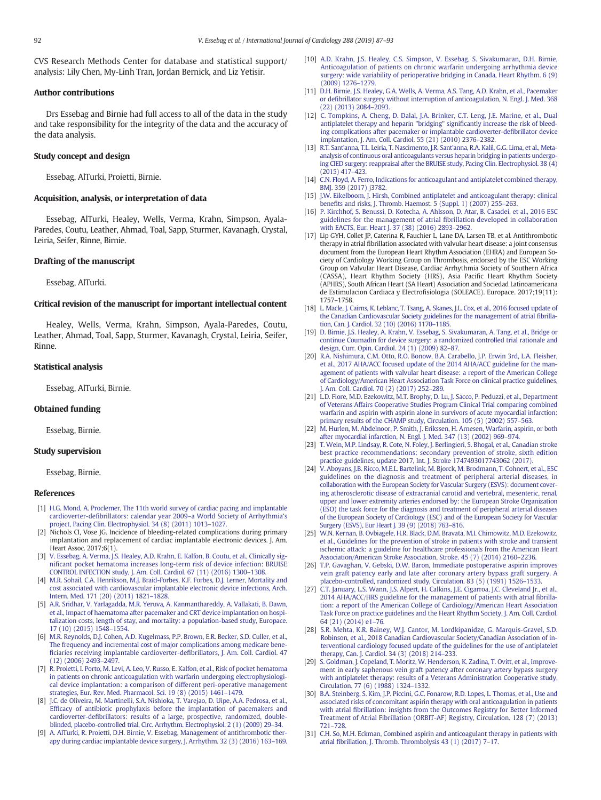<span id="page-5-0"></span>CVS Research Methods Center for database and statistical support/ analysis: Lily Chen, My-Linh Tran, Jordan Bernick, and Liz Yetisir.

#### Author contributions

Drs Essebag and Birnie had full access to all of the data in the study and take responsibility for the integrity of the data and the accuracy of the data analysis.

## Study concept and design

Essebag, AlTurki, Proietti, Birnie.

# Acquisition, analysis, or interpretation of data

Essebag, AlTurki, Healey, Wells, Verma, Krahn, Simpson, Ayala-Paredes, Coutu, Leather, Ahmad, Toal, Sapp, Sturmer, Kavanagh, Crystal, Leiria, Seifer, Rinne, Birnie.

#### Drafting of the manuscript

Essebag, AlTurki.

# Critical revision of the manuscript for important intellectual content

Healey, Wells, Verma, Krahn, Simpson, Ayala-Paredes, Coutu, Leather, Ahmad, Toal, Sapp, Sturmer, Kavanagh, Crystal, Leiria, Seifer, Rinne.

#### Statistical analysis

Essebag, AlTurki, Birnie.

#### Obtained funding

Essebag, Birnie.

#### Study supervision

Essebag, Birnie.

#### References

- [1] [H.G. Mond, A. Proclemer, The 11th world survey of cardiac pacing and implantable](http://refhub.elsevier.com/S0167-5273(19)30414-0/rf0005) cardioverter-defibrillators: calendar year 2009–[a World Society of Arrhythmia's](http://refhub.elsevier.com/S0167-5273(19)30414-0/rf0005) [project, Pacing Clin. Electrophysiol. 34 \(8\) \(2011\) 1013](http://refhub.elsevier.com/S0167-5273(19)30414-0/rf0005)–1027.
- [2] Nichols CI, Vose JG. Incidence of bleeding-related complications during primary implantation and replacement of cardiac implantable electronic devices. J. Am. Heart Assoc. 2017;6(1).
- [3] [V. Essebag, A. Verma, J.S. Healey, A.D. Krahn, E. Kalfon, B. Coutu, et al., Clinically sig](http://refhub.elsevier.com/S0167-5273(19)30414-0/rf0010)nifi[cant pocket hematoma increases long-term risk of device infection: BRUISE](http://refhub.elsevier.com/S0167-5273(19)30414-0/rf0010) [CONTROL INFECTION study, J. Am. Coll. Cardiol. 67 \(11\) \(2016\) 1300](http://refhub.elsevier.com/S0167-5273(19)30414-0/rf0010)–1308.
- [4] [M.R. Sohail, C.A. Henrikson, M.J. Braid-Forbes, K.F. Forbes, D.J. Lerner, Mortality and](http://refhub.elsevier.com/S0167-5273(19)30414-0/rf0015) [cost associated with cardiovascular implantable electronic device infections, Arch.](http://refhub.elsevier.com/S0167-5273(19)30414-0/rf0015) [Intern. Med. 171 \(20\) \(2011\) 1821](http://refhub.elsevier.com/S0167-5273(19)30414-0/rf0015)–1828.
- [5] [A.R. Sridhar, V. Yarlagadda, M.R. Yeruva, A. Kanmanthareddy, A. Vallakati, B. Dawn,](http://refhub.elsevier.com/S0167-5273(19)30414-0/rf0020) [et al., Impact of haematoma after pacemaker and CRT device implantation on hospi](http://refhub.elsevier.com/S0167-5273(19)30414-0/rf0020)[talization costs, length of stay, and mortality: a population-based study, Europace.](http://refhub.elsevier.com/S0167-5273(19)30414-0/rf0020) [17 \(10\) \(2015\) 1548](http://refhub.elsevier.com/S0167-5273(19)30414-0/rf0020)–1554.
- [6] [M.R. Reynolds, D.J. Cohen, A.D. Kugelmass, P.P. Brown, E.R. Becker, S.D. Culler, et al.,](http://refhub.elsevier.com/S0167-5273(19)30414-0/rf0025) The frequency and incremental cost of major complications among medicare bene fi[ciaries receiving implantable cardioverter-de](http://refhub.elsevier.com/S0167-5273(19)30414-0/rf0025)fibrillators, J. Am. Coll. Cardiol. 47 [\(12\) \(2006\) 2493](http://refhub.elsevier.com/S0167-5273(19)30414-0/rf0025)–2497.
- [7] [R. Proietti, I. Porto, M. Levi, A. Leo, V. Russo, E. Kalfon, et al., Risk of pocket hematoma](http://refhub.elsevier.com/S0167-5273(19)30414-0/rf0030) [in patients on chronic anticoagulation with warfarin undergoing electrophysiologi](http://refhub.elsevier.com/S0167-5273(19)30414-0/rf0030)[cal device implantation: a comparison of different peri-operative management](http://refhub.elsevier.com/S0167-5273(19)30414-0/rf0030) [strategies, Eur. Rev. Med. Pharmacol. Sci. 19 \(8\) \(2015\) 1461](http://refhub.elsevier.com/S0167-5273(19)30414-0/rf0030)–1479.
- [8] [J.C. de Oliveira, M. Martinelli, S.A. Nishioka, T. Varejao, D. Uipe, A.A. Pedrosa, et al.,](http://refhub.elsevier.com/S0167-5273(19)30414-0/rf0035) Effi[cacy of antibiotic prophylaxis before the implantation of pacemakers and](http://refhub.elsevier.com/S0167-5273(19)30414-0/rf0035) cardioverter-defi[brillators: results of a large, prospective, randomized, double](http://refhub.elsevier.com/S0167-5273(19)30414-0/rf0035)[blinded, placebo-controlled trial, Circ. Arrhythm. Electrophysiol. 2 \(1\) \(2009\) 29](http://refhub.elsevier.com/S0167-5273(19)30414-0/rf0035)–34.
- [9] [A. AlTurki, R. Proietti, D.H. Birnie, V. Essebag, Management of antithrombotic ther](http://refhub.elsevier.com/S0167-5273(19)30414-0/rf0040)[apy during cardiac implantable device surgery, J. Arrhythm. 32 \(3\) \(2016\) 163](http://refhub.elsevier.com/S0167-5273(19)30414-0/rf0040)–169.
- [10] [A.D. Krahn, J.S. Healey, C.S. Simpson, V. Essebag, S. Sivakumaran, D.H. Birnie,](http://refhub.elsevier.com/S0167-5273(19)30414-0/rf0045) [Anticoagulation of patients on chronic warfarin undergoing arrhythmia device](http://refhub.elsevier.com/S0167-5273(19)30414-0/rf0045) [surgery: wide variability of perioperative bridging in Canada, Heart Rhythm. 6 \(9\)](http://refhub.elsevier.com/S0167-5273(19)30414-0/rf0045) [\(2009\) 1276](http://refhub.elsevier.com/S0167-5273(19)30414-0/rf0045)–1279.
- [11] [D.H. Birnie, J.S. Healey, G.A. Wells, A. Verma, A.S. Tang, A.D. Krahn, et al., Pacemaker](http://refhub.elsevier.com/S0167-5273(19)30414-0/rf0050) or defi[brillator surgery without interruption of anticoagulation, N. Engl. J. Med. 368](http://refhub.elsevier.com/S0167-5273(19)30414-0/rf0050) [\(22\) \(2013\) 2084](http://refhub.elsevier.com/S0167-5273(19)30414-0/rf0050)–2093.
- [12] [C. Tompkins, A. Cheng, D. Dalal, J.A. Brinker, C.T. Leng, J.E. Marine, et al., Dual](http://refhub.elsevier.com/S0167-5273(19)30414-0/rf0055) [antiplatelet therapy and heparin "bridging" signi](http://refhub.elsevier.com/S0167-5273(19)30414-0/rf0055)ficantly increase the risk of bleed[ing complications after pacemaker or implantable cardioverter-de](http://refhub.elsevier.com/S0167-5273(19)30414-0/rf0055)fibrillator device [implantation, J. Am. Coll. Cardiol. 55 \(21\) \(2010\) 2376](http://refhub.elsevier.com/S0167-5273(19)30414-0/rf0055)–2382.
- [13] [R.T. Sant'anna, T.L. Leiria, T. Nascimento, J.R. Sant'anna, R.A. Kalil, G.G. Lima, et al., Meta](http://refhub.elsevier.com/S0167-5273(19)30414-0/rf0060)[analysis of continuous oral anticoagulants versus heparin bridging in patients undergo](http://refhub.elsevier.com/S0167-5273(19)30414-0/rf0060)[ing CIED surgery: reappraisal after the BRUISE](http://refhub.elsevier.com/S0167-5273(19)30414-0/rf0060) study, Pacing Clin. Electrophysiol. 38 (4) [\(2015\) 417](http://refhub.elsevier.com/S0167-5273(19)30414-0/rf0060)–423.
- [14] [C.N. Floyd, A. Ferro, Indications for anticoagulant and antiplatelet combined therapy,](http://refhub.elsevier.com/S0167-5273(19)30414-0/rf0065) [BMJ. 359 \(2017\) j3782](http://refhub.elsevier.com/S0167-5273(19)30414-0/rf0065).
- [15] [J.W. Eikelboom, J. Hirsh, Combined antiplatelet and anticoagulant therapy: clinical](http://refhub.elsevier.com/S0167-5273(19)30414-0/rf0070) benefi[ts and risks, J. Thromb. Haemost. 5 \(Suppl. 1\) \(2007\) 255](http://refhub.elsevier.com/S0167-5273(19)30414-0/rf0070)–263.
- [16] [P. Kirchhof, S. Benussi, D. Kotecha, A. Ahlsson, D. Atar, B. Casadei, et al., 2016 ESC](http://refhub.elsevier.com/S0167-5273(19)30414-0/rf0075) [guidelines for the management of atrial](http://refhub.elsevier.com/S0167-5273(19)30414-0/rf0075) fibrillation developed in collaboration [with EACTS, Eur. Heart J. 37 \(38\) \(2016\) 2893](http://refhub.elsevier.com/S0167-5273(19)30414-0/rf0075)–2962.
- [17] Lip GYH, Collet JP, Caterina R, Fauchier L, Lane DA, Larsen TB, et al. Antithrombotic therapy in atrial fibrillation associated with valvular heart disease: a joint consensus document from the European Heart Rhythm Association (EHRA) and European Society of Cardiology Working Group on Thrombosis, endorsed by the ESC Working Group on Valvular Heart Disease, Cardiac Arrhythmia Society of Southern Africa (CASSA), Heart Rhythm Society (HRS), Asia Pacific Heart Rhythm Society (APHRS), South African Heart (SA Heart) Association and Sociedad Latinoamericana de Estimulacion Cardiaca y Electrofisiologia (SOLEACE). Europace. 2017;19(11): 1757–1758.
- [18] [L. Macle, J. Cairns, K. Leblanc, T. Tsang, A. Skanes, J.L. Cox, et al., 2016 focused update of](http://refhub.elsevier.com/S0167-5273(19)30414-0/rf0080) [the Canadian Cardiovascular Society guidelines for the management of atrial](http://refhub.elsevier.com/S0167-5273(19)30414-0/rf0080) fibrilla[tion, Can. J. Cardiol. 32 \(10\) \(2016\) 1170](http://refhub.elsevier.com/S0167-5273(19)30414-0/rf0080)–1185.
- [19] [D. Birnie, J.S. Healey, A. Krahn, V. Essebag, S. Sivakumaran, A. Tang, et al., Bridge or](http://refhub.elsevier.com/S0167-5273(19)30414-0/rf0085) [continue Coumadin for device surgery: a randomized controlled trial rationale and](http://refhub.elsevier.com/S0167-5273(19)30414-0/rf0085) [design, Curr. Opin. Cardiol. 24 \(1\) \(2009\) 82](http://refhub.elsevier.com/S0167-5273(19)30414-0/rf0085)–87.
- [20] [R.A. Nishimura, C.M. Otto, R.O. Bonow, B.A. Carabello, J.P. Erwin 3rd, L.A. Fleisher,](http://refhub.elsevier.com/S0167-5273(19)30414-0/rf0090) [et al., 2017 AHA/ACC focused update of the 2014 AHA/ACC guideline for the man](http://refhub.elsevier.com/S0167-5273(19)30414-0/rf0090)[agement of patients with valvular heart disease: a report of the American College](http://refhub.elsevier.com/S0167-5273(19)30414-0/rf0090) [of Cardiology/American Heart Association Task Force on clinical practice guidelines,](http://refhub.elsevier.com/S0167-5273(19)30414-0/rf0090) Am. Coll. Cardiol. 70 (2) (2017) 252-289.
- [21] [L.D. Fiore, M.D. Ezekowitz, M.T. Brophy, D. Lu, J. Sacco, P. Peduzzi, et al., Department](http://refhub.elsevier.com/S0167-5273(19)30414-0/rf0095) [of Veterans Affairs Cooperative Studies Program Clinical Trial comparing combined](http://refhub.elsevier.com/S0167-5273(19)30414-0/rf0095) [warfarin and aspirin with aspirin alone in survivors of acute myocardial infarction:](http://refhub.elsevier.com/S0167-5273(19)30414-0/rf0095) [primary results of the CHAMP study, Circulation. 105 \(5\) \(2002\) 557](http://refhub.elsevier.com/S0167-5273(19)30414-0/rf0095)-563.
- [22] [M. Hurlen, M. Abdelnoor, P. Smith, J. Erikssen, H. Arnesen, Warfarin, aspirin, or both](http://refhub.elsevier.com/S0167-5273(19)30414-0/rf0100) [after myocardial infarction, N. Engl. J. Med. 347 \(13\) \(2002\) 969](http://refhub.elsevier.com/S0167-5273(19)30414-0/rf0100)–974.
- [23] [T. Wein, M.P. Lindsay, R. Cote, N. Foley, J. Berlingieri, S. Bhogal, et al., Canadian stroke](http://refhub.elsevier.com/S0167-5273(19)30414-0/rf0105) [best practice recommendations: secondary prevention of stroke, sixth edition](http://refhub.elsevier.com/S0167-5273(19)30414-0/rf0105) [practice guidelines, update 2017, Int. J. Stroke 1747493017743062 \(2017\)](http://refhub.elsevier.com/S0167-5273(19)30414-0/rf0105).
- [24] [V. Aboyans, J.B. Ricco, M.E.L. Bartelink, M. Bjorck, M. Brodmann, T. Cohnert, et al., ESC](http://refhub.elsevier.com/S0167-5273(19)30414-0/rf0190) [guidelines on the diagnosis and treatment of peripheral arterial diseases, in](http://refhub.elsevier.com/S0167-5273(19)30414-0/rf0190) [collaboration with the European Society for Vascular Surgery \(ESVS\): document cover](http://refhub.elsevier.com/S0167-5273(19)30414-0/rf0190)[ing atherosclerotic disease of extracranial carotid and vertebral, mesenteric, renal,](http://refhub.elsevier.com/S0167-5273(19)30414-0/rf0190) [upper and lower extremity arteries endorsed by: the European Stroke Organization](http://refhub.elsevier.com/S0167-5273(19)30414-0/rf0190) [\(ESO\) the task force for the diagnosis and treatment of peripheral arterial diseases](http://refhub.elsevier.com/S0167-5273(19)30414-0/rf0190) [of the European Society of Cardiology \(ESC\) and of the European Society for Vascular](http://refhub.elsevier.com/S0167-5273(19)30414-0/rf0190) [Surgery \(ESVS\), Eur Heart J. 39 \(9\) \(2018\) 763](http://refhub.elsevier.com/S0167-5273(19)30414-0/rf0190)–816.
- [25] [W.N. Kernan, B. Ovbiagele, H.R. Black, D.M. Bravata, M.I. Chimowitz, M.D. Ezekowitz,](http://refhub.elsevier.com/S0167-5273(19)30414-0/rf0110) [et al., Guidelines for the prevention of stroke in patients with stroke and transient](http://refhub.elsevier.com/S0167-5273(19)30414-0/rf0110) [ischemic attack: a guideline for healthcare professionals from the American Heart](http://refhub.elsevier.com/S0167-5273(19)30414-0/rf0110) [Association/American Stroke Association, Stroke. 45 \(7\) \(2014\) 2160](http://refhub.elsevier.com/S0167-5273(19)30414-0/rf0110)–2236.
- [26] [T.P. Gavaghan, V. Gebski, D.W. Baron, Immediate postoperative aspirin improves](http://refhub.elsevier.com/S0167-5273(19)30414-0/rf0115) [vein graft patency early and late after coronary artery bypass graft surgery. A](http://refhub.elsevier.com/S0167-5273(19)30414-0/rf0115) [placebo-controlled, randomized study, Circulation. 83 \(5\) \(1991\) 1526](http://refhub.elsevier.com/S0167-5273(19)30414-0/rf0115)–1533.
- [27] [C.T. January, L.S. Wann, J.S. Alpert, H. Calkins, J.E. Cigarroa, J.C. Cleveland Jr., et al.,](http://refhub.elsevier.com/S0167-5273(19)30414-0/rf0120) [2014 AHA/ACC/HRS guideline for the management of patients with atrial](http://refhub.elsevier.com/S0167-5273(19)30414-0/rf0120) fibrilla[tion: a report of the American College of Cardiology/American Heart Association](http://refhub.elsevier.com/S0167-5273(19)30414-0/rf0120) [Task Force on practice guidelines and the Heart Rhythm Society, J. Am. Coll. Cardiol.](http://refhub.elsevier.com/S0167-5273(19)30414-0/rf0120) [64 \(21\) \(2014\) e1](http://refhub.elsevier.com/S0167-5273(19)30414-0/rf0120)–76.
- [28] [S.R. Mehta, K.R. Bainey, W.J. Cantor, M. Lordkipanidze, G. Marquis-Gravel, S.D.](http://refhub.elsevier.com/S0167-5273(19)30414-0/rf0125) [Robinson, et al., 2018 Canadian Cardiovascular Society/Canadian Association of in](http://refhub.elsevier.com/S0167-5273(19)30414-0/rf0125)[terventional cardiology focused update of the guidelines for the use of antiplatelet](http://refhub.elsevier.com/S0167-5273(19)30414-0/rf0125) [therapy, Can. J. Cardiol. 34 \(3\) \(2018\) 214](http://refhub.elsevier.com/S0167-5273(19)30414-0/rf0125)–233.
- [29] [S. Goldman, J. Copeland, T. Moritz, W. Henderson, K. Zadina, T. Ovitt, et al., Improve](http://refhub.elsevier.com/S0167-5273(19)30414-0/rf0130)[ment in early saphenous vein graft patency after coronary artery bypass surgery](http://refhub.elsevier.com/S0167-5273(19)30414-0/rf0130) [with antiplatelet therapy: results of a Veterans Administration Cooperative study,](http://refhub.elsevier.com/S0167-5273(19)30414-0/rf0130) [Circulation. 77 \(6\) \(1988\) 1324](http://refhub.elsevier.com/S0167-5273(19)30414-0/rf0130)–1332.
- [30] [B.A. Steinberg, S. Kim, J.P. Piccini, G.C. Fonarow, R.D. Lopes, L. Thomas, et al., Use and](http://refhub.elsevier.com/S0167-5273(19)30414-0/rf0135) [associated risks of concomitant aspirin therapy with oral anticoagulation in patients](http://refhub.elsevier.com/S0167-5273(19)30414-0/rf0135) with atrial fi[brillation: insights from the Outcomes Registry for Better Informed](http://refhub.elsevier.com/S0167-5273(19)30414-0/rf0135) [Treatment of Atrial Fibrillation \(ORBIT-AF\) Registry, Circulation. 128 \(7\) \(2013\)](http://refhub.elsevier.com/S0167-5273(19)30414-0/rf0135) [721](http://refhub.elsevier.com/S0167-5273(19)30414-0/rf0135)–728.
- [31] [C.H. So, M.H. Eckman, Combined aspirin and anticoagulant therapy in patients with](http://refhub.elsevier.com/S0167-5273(19)30414-0/rf0140) atrial fi[brillation, J. Thromb. Thrombolysis 43 \(1\) \(2017\) 7](http://refhub.elsevier.com/S0167-5273(19)30414-0/rf0140)–17.